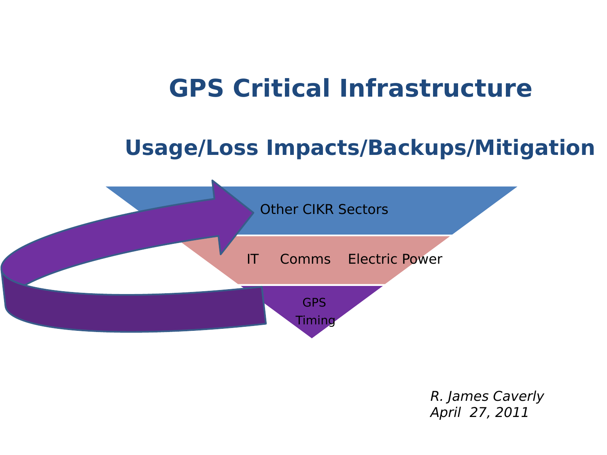### **GPS Critical Infrastructure**

### **Usage/Loss Impacts/Backups/Mitigation**



R. James Caverly April 27, 2011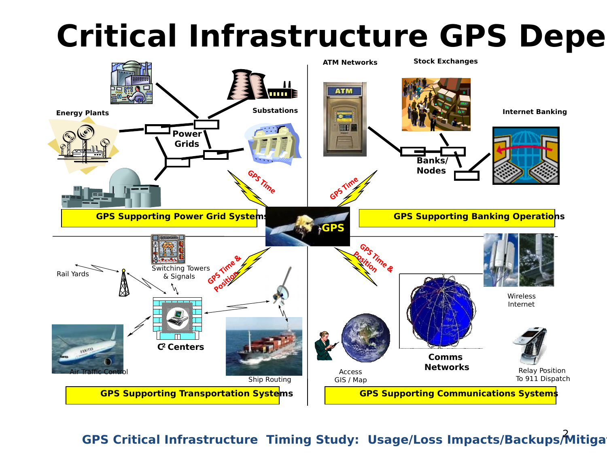## **Critical Infrastructure GPS Depe**

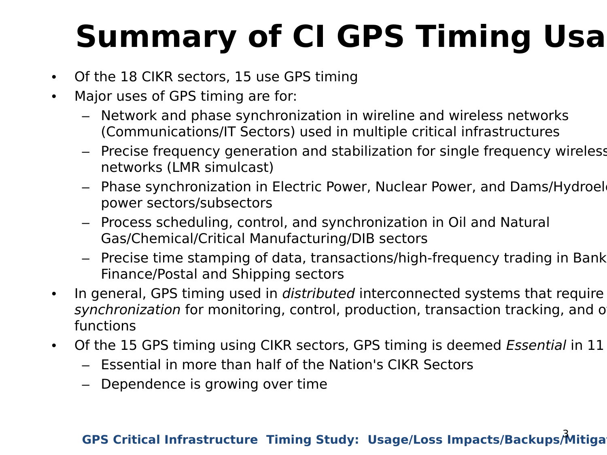# **Summary of CI GPS Timing Usa**

- Of the 18 CIKR sectors, 15 use GPS timing
- Major uses of GPS timing are for:
	- Network and phase synchronization in wireline and wireless networks (Communications/IT Sectors) used in multiple critical infrastructures
	- Precise frequency generation and stabilization for single frequency wireless networks (LMR simulcast)
	- Phase synchronization in Electric Power, Nuclear Power, and Dams/Hydroelectric power sectors/subsectors
	- Process scheduling, control, and synchronization in Oil and Natural Gas/Chemical/Critical Manufacturing/DIB sectors
	- Precise time stamping of data, transactions/high-frequency trading in Bank Finance/Postal and Shipping sectors
- In general, GPS timing used in *distributed* interconnected systems that require synchronization for monitoring, control, production, transaction tracking, and o functions
- Of the 15 GPS timing using CIKR sectors, GPS timing is deemed Essential in 11
	- Essential in more than half of the Nation's CIKR Sectors
	- Dependence is growing over time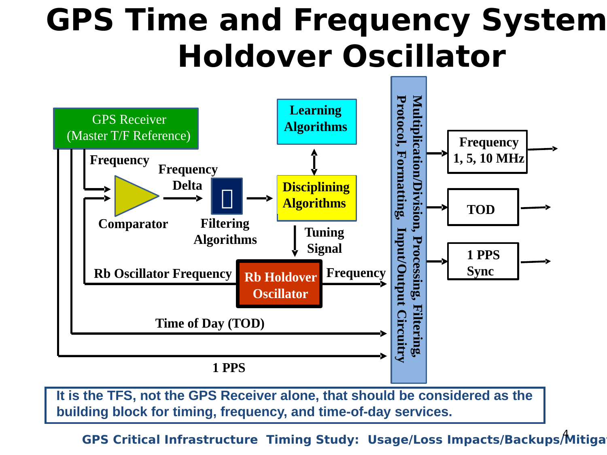### **GPS Time and Frequency System Holdover Oscillator**



**It is the TFS, not the GPS Receiver alone, that should be considered as the building block for timing, frequency, and time-of-day services.**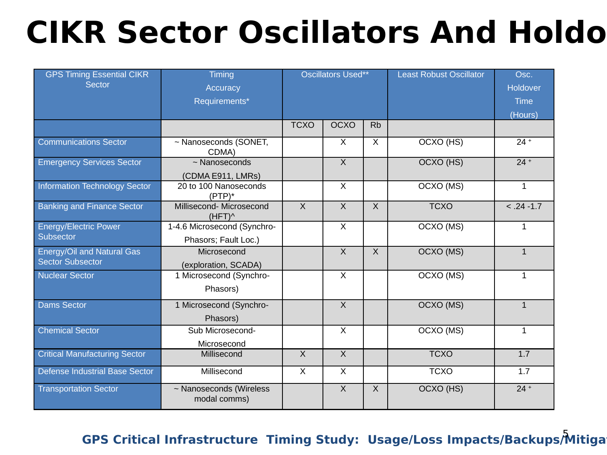## **CIKR Sector Oscillators And Holdo**

| <b>GPS Timing Essential CIKR</b><br><b>Sector</b>     | <b>Timing</b><br>Accuracy<br>Requirements*          | <b>Oscillators Used**</b> |                         |                | <b>Least Robust Oscillator</b> | Osc.<br>Holdover<br><b>Time</b> |
|-------------------------------------------------------|-----------------------------------------------------|---------------------------|-------------------------|----------------|--------------------------------|---------------------------------|
|                                                       |                                                     |                           |                         |                |                                | (Hours)                         |
|                                                       |                                                     | <b>TCXO</b>               | OCXO                    | <b>Rb</b>      |                                |                                 |
| <b>Communications Sector</b>                          | ~ Nanoseconds (SONET,<br>CDMA)                      |                           | X                       | $\mathsf{X}$   | OCXO (HS)                      | $24 +$                          |
| <b>Emergency Services Sector</b>                      | $~\sim$ Nanoseconds<br>(CDMA E911, LMRs)            |                           | $\overline{\mathsf{x}}$ |                | OCXO (HS)                      | $24 +$                          |
| <b>Information Technology Sector</b>                  | 20 to 100 Nanoseconds<br>$(PTP)^*$                  |                           | $\overline{X}$          |                | OCXO (MS)                      | $\mathbf{1}$                    |
| <b>Banking and Finance Sector</b>                     | Millisecond- Microsecond<br>$(HFT)^{\wedge}$        | $\overline{X}$            | $\overline{X}$          | $\overline{X}$ | <b>TCXO</b>                    | $< .24 - 1.7$                   |
| <b>Energy/Electric Power</b><br><b>Subsector</b>      | 1-4.6 Microsecond (Synchro-<br>Phasors; Fault Loc.) |                           | $\overline{X}$          |                | OCXO (MS)                      | $\mathbf{1}$                    |
| Energy/Oil and Natural Gas<br><b>Sector Subsector</b> | Microsecond<br>(exploration, SCADA)                 |                           | $\mathsf{X}$            | $\mathsf{X}$   | OCXO (MS)                      | $\mathbf{1}$                    |
| <b>Nuclear Sector</b>                                 | 1 Microsecond (Synchro-<br>Phasors)                 |                           | $\mathsf{X}$            |                | OCXO (MS)                      | $\mathbf{1}$                    |
| <b>Dams Sector</b>                                    | 1 Microsecond (Synchro-<br>Phasors)                 |                           | $\overline{\mathsf{x}}$ |                | OCXO (MS)                      | $\mathbf{1}$                    |
| <b>Chemical Sector</b>                                | Sub Microsecond-<br>Microsecond                     |                           | $\mathsf{X}$            |                | OCXO (MS)                      | $\mathbf{1}$                    |
| <b>Critical Manufacturing Sector</b>                  | Millisecond                                         | $\overline{X}$            | $\overline{X}$          |                | <b>TCXO</b>                    | 1.7                             |
| Defense Industrial Base Sector                        | Millisecond                                         | $\mathsf{X}$              | X                       |                | <b>TCXO</b>                    | 1.7                             |
| <b>Transportation Sector</b>                          | ~ Nanoseconds (Wireless<br>modal comms)             |                           | $\mathsf{X}$            | $\times$       | OCXO (HS)                      | $24 +$                          |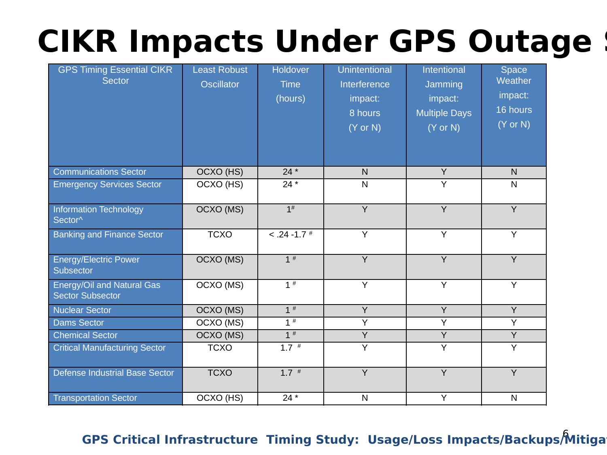## **CIKR Impacts Under GPS Outage**

| <b>GPS Timing Essential CIKR</b><br><b>Sector</b>     | <b>Least Robust</b><br><b>Oscillator</b> | Holdover<br><b>Time</b><br>(hours) | Unintentional<br>Interference<br>impact:<br>8 hours<br>$(Y$ or N $)$ | Intentional<br>Jamming<br>impact:<br><b>Multiple Days</b><br>$(Y$ or $N)$ | Space<br>Weather<br>impact:<br>16 hours<br>$(Y$ or N $)$ |
|-------------------------------------------------------|------------------------------------------|------------------------------------|----------------------------------------------------------------------|---------------------------------------------------------------------------|----------------------------------------------------------|
| <b>Communications Sector</b>                          | OCXO (HS)                                | $24 *$                             | N.                                                                   | $\overline{Y}$                                                            | $\mathsf{N}$                                             |
| <b>Emergency Services Sector</b>                      | OCXO (HS)                                | $24*$                              | N                                                                    | $\overline{Y}$                                                            | $\mathsf{N}$                                             |
| <b>Information Technology</b><br>Sector <sup>^</sup>  | OCXO (MS)                                | $1^{\#}$                           | $\overline{Y}$                                                       | $\overline{Y}$                                                            | $\overline{Y}$                                           |
| <b>Banking and Finance Sector</b>                     | <b>TCXO</b>                              | $< .24 - 1.7$ #                    | Y                                                                    | Y                                                                         | Y                                                        |
| <b>Energy/Electric Power</b><br>Subsector             | OCXO (MS)                                | $1$ <sup>#</sup>                   | $\overline{Y}$                                                       | $\overline{Y}$                                                            | $\overline{Y}$                                           |
| Energy/Oil and Natural Gas<br><b>Sector Subsector</b> | OCXO (MS)                                | $1$ <sup>#</sup>                   | $\overline{Y}$                                                       | $\overline{Y}$                                                            | $\overline{Y}$                                           |
| <b>Nuclear Sector</b>                                 | OCXO (MS)                                | $1$ #                              | Y                                                                    | Y                                                                         | Y                                                        |
| <b>Dams Sector</b>                                    | OCXO (MS)                                | $1$ <sup>#</sup>                   | Y                                                                    | Y                                                                         | Y                                                        |
| <b>Chemical Sector</b>                                | OCXO (MS)                                | $1$ #                              | Y                                                                    | $\overline{Y}$                                                            | $\overline{Y}$                                           |
| <b>Critical Manufacturing Sector</b>                  | <b>TCXO</b>                              | $1.7$ #                            | $\overline{Y}$                                                       | $\overline{Y}$                                                            | Y                                                        |
| <b>Defense Industrial Base Sector</b>                 | <b>TCXO</b>                              | $1.7$ #                            | Y                                                                    | Y                                                                         | Y                                                        |
| <b>Transportation Sector</b>                          | OCXO (HS)                                | $24*$                              | $\mathsf{N}$                                                         | Y                                                                         | $\mathsf{N}$                                             |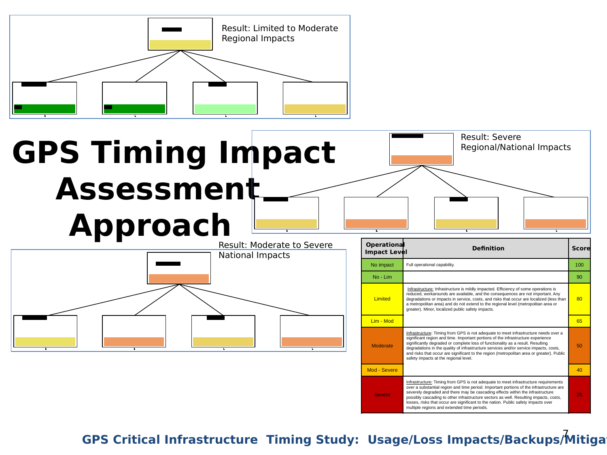

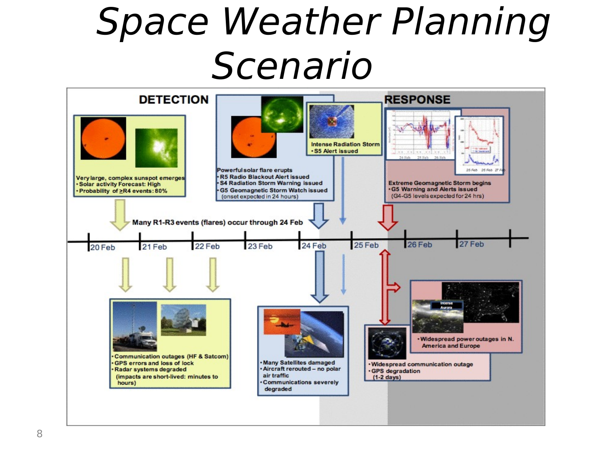# Space Weather Planning Scenario

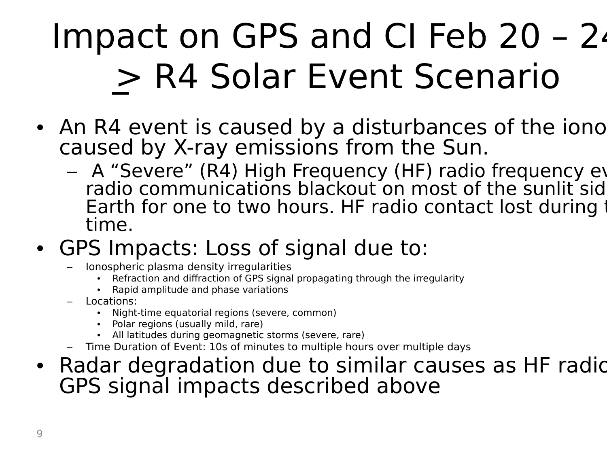# Impact on GPS and CI Feb 20 – 24 > R4 Solar Event Scenario

- An R4 event is caused by a disturbances of the iono caused by X-ray emissions from the Sun.
	- A "Severe" (R4) High Frequency (HF) radio frequency ev radio communications blackout on most of the sunlit sid Earth for one to two hours. HF radio contact lost during time.
- GPS Impacts: Loss of signal due to:
	- Ionospheric plasma density irregularities
		- Refraction and diffraction of GPS signal propagating through the irregularity
		- Rapid amplitude and phase variations
	- Locations:
		- Night-time equatorial regions (severe, common)
		- Polar regions (usually mild, rare)
		- All latitudes during geomagnetic storms (severe, rare)
	- Time Duration of Event: 10s of minutes to multiple hours over multiple days
- Radar degradation due to similar causes as HF radion GPS signal impacts described above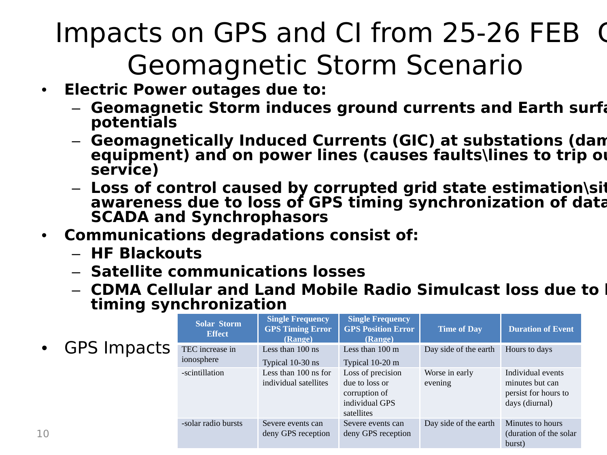### Impacts on GPS and CI from 25-26 FEB G Geomagnetic Storm Scenario

- **Electric Power outages due to:** 
	- **Geomagnetic Storm induces ground currents and Earth surface potentials**
	- **Geomagnetically Induced Currents (GIC) at substations (damages**  equipment) and on power lines (causes faults\lines to trip or **service)**
	- Loss of control caused by corrupted grid state estimation\si**t awareness due to loss of GPS timing synchronization of data from SCADA and Synchrophasors**
- **Communications degradations consist of:** 
	- **HF Blackouts**
	- **Satellite communications losses**
	- **CDMA Cellular and Land Mobile Radio Simulcast loss due to I timing synchronization**

|                |               | <b>Solar Storm</b><br><b>Effect</b> | <b>Single Frequency</b><br><b>GPS Timing Error</b><br>(Range) | <b>Single Frequency</b><br><b>GPS Position Error</b><br>(Range)                      | <b>Time of Day</b>        | <b>Duration of Event</b>                                                       |
|----------------|---------------|-------------------------------------|---------------------------------------------------------------|--------------------------------------------------------------------------------------|---------------------------|--------------------------------------------------------------------------------|
|                | • GPS Impacts | TEC increase in<br>ionosphere       | Less than 100 ns<br>Typical 10-30 ns                          | Less than $100 \text{ m}$<br>Typical 10-20 m                                         | Day side of the earth     | Hours to days                                                                  |
|                |               | -scintillation                      | Less than 100 ns for<br>individual satellites                 | Loss of precision<br>due to loss or<br>corruption of<br>individual GPS<br>satellites | Worse in early<br>evening | Individual events<br>minutes but can<br>persist for hours to<br>days (diurnal) |
| $\overline{0}$ |               | -solar radio bursts                 | Severe events can<br>deny GPS reception                       | Severe events can<br>deny GPS reception                                              | Day side of the earth     | Minutes to hours<br>(duration of the solar<br>burst)                           |